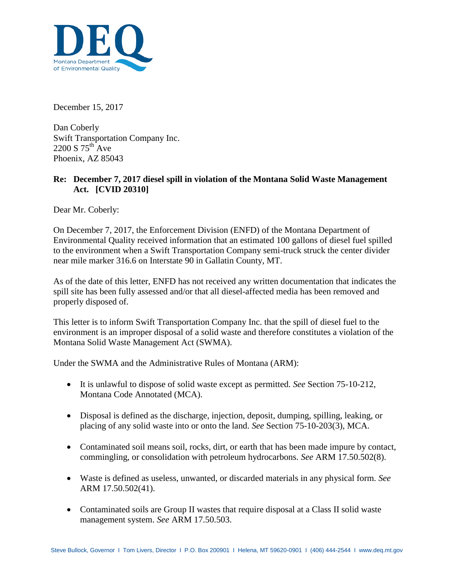

December 15, 2017

Dan Coberly Swift Transportation Company Inc.  $2200 S 75^{th} Ave$ Phoenix, AZ 85043

## **Re: December 7, 2017 diesel spill in violation of the Montana Solid Waste Management Act. [CVID 20310]**

Dear Mr. Coberly:

On December 7, 2017, the Enforcement Division (ENFD) of the Montana Department of Environmental Quality received information that an estimated 100 gallons of diesel fuel spilled to the environment when a Swift Transportation Company semi-truck struck the center divider near mile marker 316.6 on Interstate 90 in Gallatin County, MT.

As of the date of this letter, ENFD has not received any written documentation that indicates the spill site has been fully assessed and/or that all diesel-affected media has been removed and properly disposed of.

This letter is to inform Swift Transportation Company Inc. that the spill of diesel fuel to the environment is an improper disposal of a solid waste and therefore constitutes a violation of the Montana Solid Waste Management Act (SWMA).

Under the SWMA and the Administrative Rules of Montana (ARM):

- It is unlawful to dispose of solid waste except as permitted. *See* Section 75-10-212, Montana Code Annotated (MCA).
- Disposal is defined as the discharge, injection, deposit, dumping, spilling, leaking, or placing of any solid waste into or onto the land. *See* Section 75-10-203(3), MCA.
- Contaminated soil means soil, rocks, dirt, or earth that has been made impure by contact, commingling, or consolidation with petroleum hydrocarbons. *See* ARM 17.50.502(8).
- Waste is defined as useless, unwanted, or discarded materials in any physical form. *See* ARM 17.50.502(41).
- Contaminated soils are Group II wastes that require disposal at a Class II solid waste management system. *See* ARM 17.50.503.